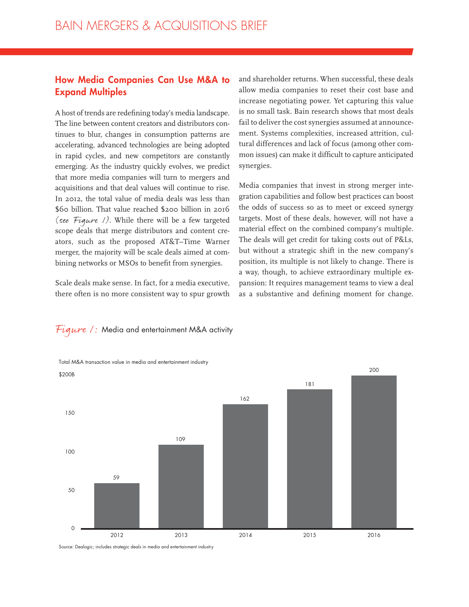### **How Media Companies Can Use M&A to Expand Multiples**

A host of trends are redefining today's media landscape. The line between content creators and distributors continues to blur, changes in consumption patterns are accelerating, advanced technologies are being adopted in rapid cycles, and new competitors are constantly emerging. As the industry quickly evolves, we predict that more media companies will turn to mergers and acquisitions and that deal values will continue to rise. In 2012, the total value of media deals was less than \$60 billion. That value reached \$200 billion in 2016 (see Figure  $\ell$ ). While there will be a few targeted scope deals that merge distributors and content creators, such as the proposed AT&T–Time Warner merger, the majority will be scale deals aimed at combining networks or MSOs to benefit from synergies.

Scale deals make sense. In fact, for a media executive, there often is no more consistent way to spur growth and shareholder returns. When successful, these deals allow media companies to reset their cost base and increase negotiating power. Yet capturing this value is no small task. Bain research shows that most deals fail to deliver the cost synergies assumed at announcement. Systems complexities, increased attrition, cultural differences and lack of focus (among other common issues) can make it difficult to capture anticipated synergies.

Media companies that invest in strong merger integration capabilities and follow best practices can boost the odds of success so as to meet or exceed synergy targets. Most of these deals, however, will not have a material effect on the combined company's multiple. The deals will get credit for taking costs out of P&Ls, but without a strategic shift in the new company's position, its multiple is not likely to change. There is a way, though, to achieve extraordinary multiple expansion: It requires management teams to view a deal as a substantive and defining moment for change.

# Figure 1: Media and entertainment M&A activity



Source: Dealogic; includes strategic deals in media and entertainment industry